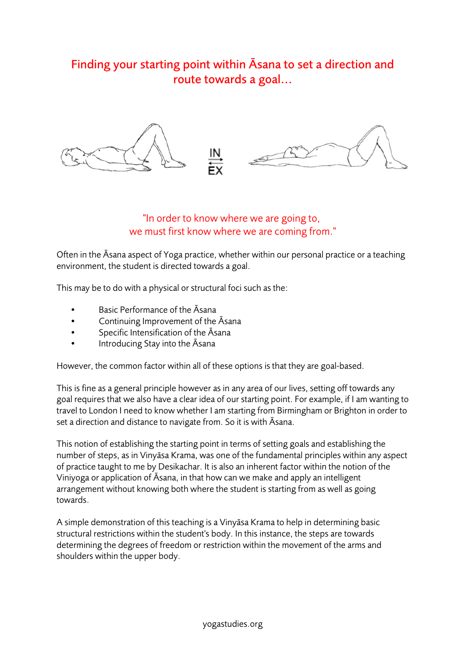## Finding your starting point within Āsana to set a direction and route towards a goal...



## "In order to know where we are going to, we must first know where we are coming from."

Often in the Āsana aspect of Yoga practice, whether within our personal practice or a teaching environment, the student is directed towards a goal.

This may be to do with a physical or structural foci such as the:

- Basic Performance of the Āsana
- Continuing Improvement of the Āsana
- Specific Intensification of the Āsana
- Introducing Stay into the Āsana

However, the common factor within all of these options is that they are goal-based.

This is fine as a general principle however as in any area of our lives, setting off towards any goal requires that we also have a clear idea of our starting point. For example, if I am wanting to travel to London I need to know whether I am starting from Birmingham or Brighton in order to set a direction and distance to navigate from. So it is with Āsana.

This notion of establishing the starting point in terms of setting goals and establishing the number of steps, as in Vinyāsa Krama, was one of the fundamental principles within any aspect of practice taught to me by Desikachar. It is also an inherent factor within the notion of the Viniyoga or application of Āsana, in that how can we make and apply an intelligent arrangement without knowing both where the student is starting from as well as going towards.

A simple demonstration of this teaching is a Vinyāsa Krama to help in determining basic structural restrictions within the student's body. In this instance, the steps are towards determining the degrees of freedom or restriction within the movement of the arms and shoulders within the upper body.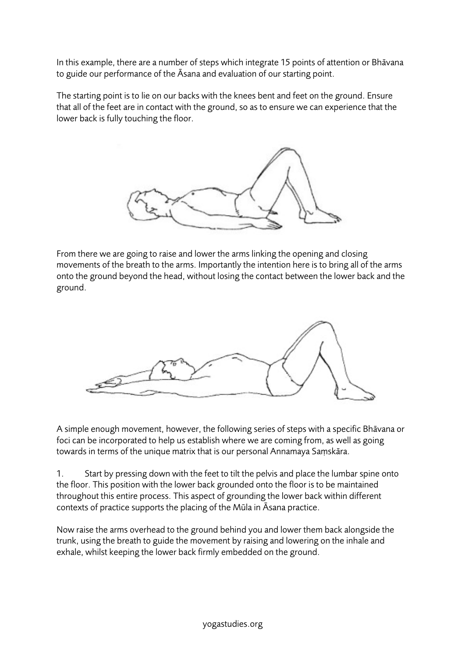In this example, there are a number of steps which integrate 15 points of attention or Bhāvana to guide our performance of the Āsana and evaluation of our starting point.

The starting point is to lie on our backs with the knees bent and feet on the ground. Ensure that all of the feet are in contact with the ground, so as to ensure we can experience that the lower back is fully touching the floor.



From there we are going to raise and lower the arms linking the opening and closing movements of the breath to the arms. Importantly the intention here is to bring all of the arms onto the ground beyond the head, without losing the contact between the lower back and the ground.



A simple enough movement, however, the following series of steps with a specific Bhāvana or foci can be incorporated to help us establish where we are coming from, as well as going towards in terms of the unique matrix that is our personal Annamaya Saṃskāra.

1. Start by pressing down with the feet to tilt the pelvis and place the lumbar spine onto the floor. This position with the lower back grounded onto the floor is to be maintained throughout this entire process. This aspect of grounding the lower back within different contexts of practice supports the placing of the Mūla in Āsana practice.

Now raise the arms overhead to the ground behind you and lower them back alongside the trunk, using the breath to guide the movement by raising and lowering on the inhale and exhale, whilst keeping the lower back firmly embedded on the ground.